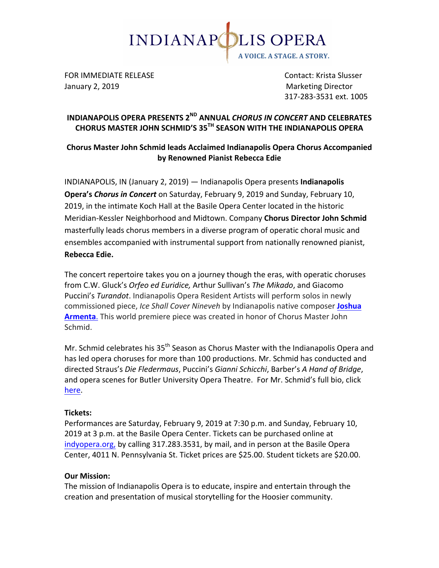

FOR IMMEDIATE RELEASE **All any contact:** Krista Slusser January 2, 2019 **Marketing Director Marketing Director** 

317-283-3531 ext. 1005

# **INDIANAPOLIS OPERA PRESENTS 2<sup>ND</sup> ANNUAL CHORUS IN CONCERT AND CELEBRATES CHORUS MASTER JOHN SCHMID'S 35TH SEASON WITH THE INDIANAPOLIS OPERA**

# **Chorus Master John Schmid leads Acclaimed Indianapolis Opera Chorus Accompanied by Renowned Pianist Rebecca Edie**

INDIANAPOLIS, IN (January 2, 2019) — Indianapolis Opera presents Indianapolis **Opera's Chorus in Concert** on Saturday, February 9, 2019 and Sunday, February 10, 2019, in the intimate Koch Hall at the Basile Opera Center located in the historic Meridian-Kessler Neighborhood and Midtown. Company Chorus Director John Schmid masterfully leads chorus members in a diverse program of operatic choral music and ensembles accompanied with instrumental support from nationally renowned pianist, **Rebecca Edie.**

The concert repertoire takes you on a journey though the eras, with operatic choruses from C.W. Gluck's *Orfeo ed Euridice*, Arthur Sullivan's *The Mikado*, and Giacomo Puccini's Turandot. Indianapolis Opera Resident Artists will perform solos in newly commissioned piece, *Ice Shall Cover Nineveh* by Indianapolis native composer Joshua **Armenta**. This world premiere piece was created in honor of Chorus Master John Schmid.

Mr. Schmid celebrates his  $35<sup>th</sup>$  Season as Chorus Master with the Indianapolis Opera and has led opera choruses for more than 100 productions. Mr. Schmid has conducted and directed Straus's *Die Fledermaus*, Puccini's *Gianni Schicchi*, Barber's *A Hand of Bridge*, and opera scenes for Butler University Opera Theatre. For Mr. Schmid's full bio, click here.

## **Tickets:**

Performances are Saturday, February 9, 2019 at 7:30 p.m. and Sunday, February 10, 2019 at 3 p.m. at the Basile Opera Center. Tickets can be purchased online at indyopera.org, by calling 317.283.3531, by mail, and in person at the Basile Opera Center, 4011 N. Pennsylvania St. Ticket prices are \$25.00. Student tickets are \$20.00.

#### **Our Mission:**

The mission of Indianapolis Opera is to educate, inspire and entertain through the creation and presentation of musical storytelling for the Hoosier community.